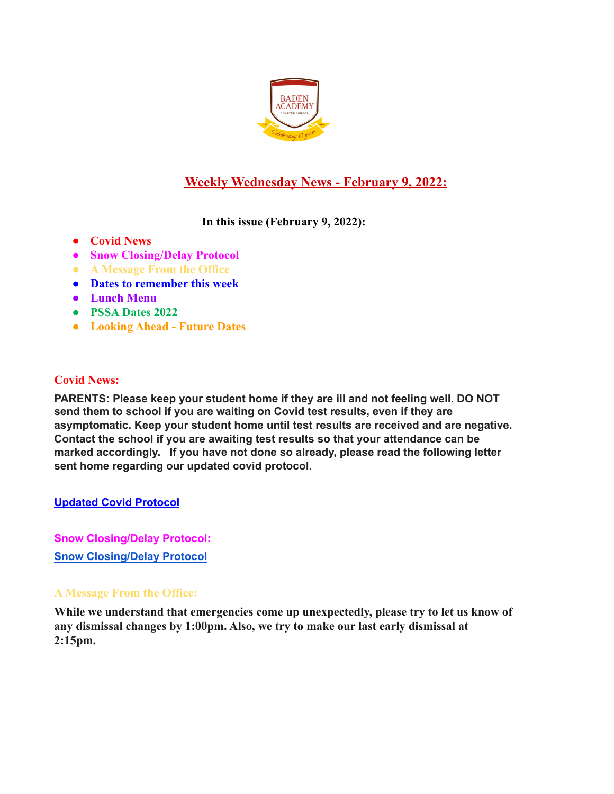

# **Weekly Wednesday News - February 9, 2022:**

## **In this issue (February 9, 2022):**

- **● Covid News**
- **● Snow Closing/Delay Protocol**
- **● A Message From the Office**
- **● Dates to remember this week**
- **● Lunch Menu**
- **● PSSA Dates 2022**
- **● Looking Ahead Future Dates**

## **Covid News:**

**PARENTS: Please keep your student home if they are ill and not feeling well. DO NOT send them to school if you are waiting on Covid test results, even if they are asymptomatic. Keep your student home until test results are received and are negative. Contact the school if you are awaiting test results so that your attendance can be marked accordingly. If you have not done so already, please read the following letter sent home regarding our updated covid protocol.**

## **Updated Covid [Protocol](https://docs.google.com/document/d/1MZOfqQyHxK0uiJCWtP7Aq6GAK19-1s4aJ-rMMfStPco/edit?usp=sharing)**

**Snow Closing/Delay Protocol: Snow [Closing/Delay](https://docs.google.com/document/d/1TCXw_1OpX5C2j8ZTfeD61I61bbe-MxUwfsijlciAKfo/edit?usp=sharing) Protocol**

## **A Message From the Office:**

**While we understand that emergencies come up unexpectedly, please try to let us know of any dismissal changes by 1:00pm. Also, we try to make our last early dismissal at 2:15pm.**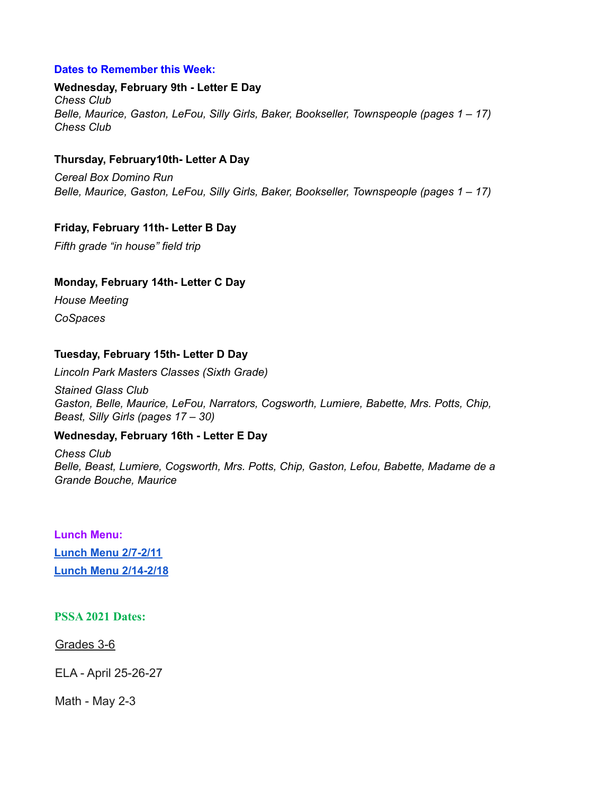## **Dates to Remember this Week:**

#### **Wednesday, February 9th - Letter E Day** *Chess Club Belle, Maurice, Gaston, LeFou, Silly Girls, Baker, Bookseller, Townspeople (pages 1 – 17) Chess Club*

## **Thursday, February10th- Letter A Day**

*Cereal Box Domino Run Belle, Maurice, Gaston, LeFou, Silly Girls, Baker, Bookseller, Townspeople (pages 1 – 17)*

### **Friday, February 11th- Letter B Day**

*Fifth grade "in house" field trip*

### **Monday, February 14th- Letter C Day**

*House Meeting CoSpaces*

### **Tuesday, February 15th- Letter D Day**

*Lincoln Park Masters Classes (Sixth Grade)*

*Stained Glass Club Gaston, Belle, Maurice, LeFou, Narrators, Cogsworth, Lumiere, Babette, Mrs. Potts, Chip, Beast, Silly Girls (pages 17 – 30)*

#### **Wednesday, February 16th - Letter E Day**

*Chess Club Belle, Beast, Lumiere, Cogsworth, Mrs. Potts, Chip, Gaston, Lefou, Babette, Madame de a Grande Bouche, Maurice*

**Lunch Menu: Lunch Menu [2/7-2/11](https://docs.google.com/document/d/1b1mEl_Qg5gyQVrRyvlPXFQU2kL2sfKGs34xr4FdeRrE/edit?usp=sharing) Lunch Menu [2/14-2/18](https://docs.google.com/document/d/15Ipm20K57IpezPR03jbbBllhHcBu5dG45sOEEsmIP9w/edit?usp=sharing)**

#### **PSSA 2021 Dates:**

Grades 3-6

ELA - April 25-26-27

Math - May 2-3